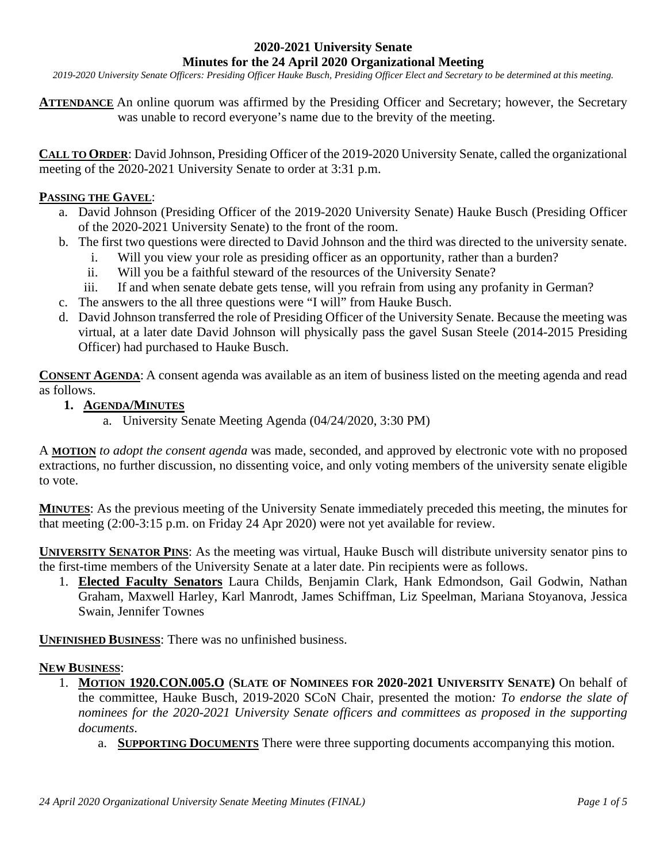### **2020-2021 University Senate Minutes for the 24 April 2020 Organizational Meeting**

*2019-2020 University Senate Officers: Presiding Officer Hauke Busch, Presiding Officer Elect and Secretary to be determined at this meeting.*

**ATTENDANCE** An online quorum was affirmed by the Presiding Officer and Secretary; however, the Secretary was unable to record everyone's name due to the brevity of the meeting.

**CALL TO ORDER**: David Johnson, Presiding Officer of the 2019-2020 University Senate, called the organizational meeting of the 2020-2021 University Senate to order at 3:31 p.m.

# **PASSING THE GAVEL**:

- a. David Johnson (Presiding Officer of the 2019-2020 University Senate) Hauke Busch (Presiding Officer of the 2020-2021 University Senate) to the front of the room.
- b. The first two questions were directed to David Johnson and the third was directed to the university senate.
	- i. Will you view your role as presiding officer as an opportunity, rather than a burden?
	- ii. Will you be a faithful steward of the resources of the University Senate?
	- iii. If and when senate debate gets tense, will you refrain from using any profanity in German?
- c. The answers to the all three questions were "I will" from Hauke Busch.
- d. David Johnson transferred the role of Presiding Officer of the University Senate. Because the meeting was virtual, at a later date David Johnson will physically pass the gavel Susan Steele (2014-2015 Presiding Officer) had purchased to Hauke Busch.

**CONSENT AGENDA:** A consent agenda was available as an item of business listed on the meeting agenda and read as follows.

- **1. AGENDA/MINUTES**
	- a. University Senate Meeting Agenda (04/24/2020, 3:30 PM)

A **MOTION** *to adopt the consent agenda* was made, seconded, and approved by electronic vote with no proposed extractions, no further discussion, no dissenting voice, and only voting members of the university senate eligible to vote.

**MINUTES**: As the previous meeting of the University Senate immediately preceded this meeting, the minutes for that meeting (2:00-3:15 p.m. on Friday 24 Apr 2020) were not yet available for review.

**UNIVERSITY SENATOR PINS**: As the meeting was virtual, Hauke Busch will distribute university senator pins to the first-time members of the University Senate at a later date. Pin recipients were as follows.

1. **Elected Faculty Senators** Laura Childs, Benjamin Clark, Hank Edmondson, Gail Godwin, Nathan Graham, Maxwell Harley, Karl Manrodt, James Schiffman, Liz Speelman, Mariana Stoyanova, Jessica Swain, Jennifer Townes

**UNFINISHED BUSINESS**: There was no unfinished business.

### **NEW BUSINESS**:

- 1. **MOTION 1920.CON.005.O** (**SLATE OF NOMINEES FOR 2020-2021 UNIVERSITY SENATE)** On behalf of the committee, Hauke Busch, 2019-2020 SCoN Chair, presented the motion*: To endorse the slate of nominees for the 2020-2021 University Senate officers and committees as proposed in the supporting documents*.
	- a. **SUPPORTING DOCUMENTS** There were three supporting documents accompanying this motion.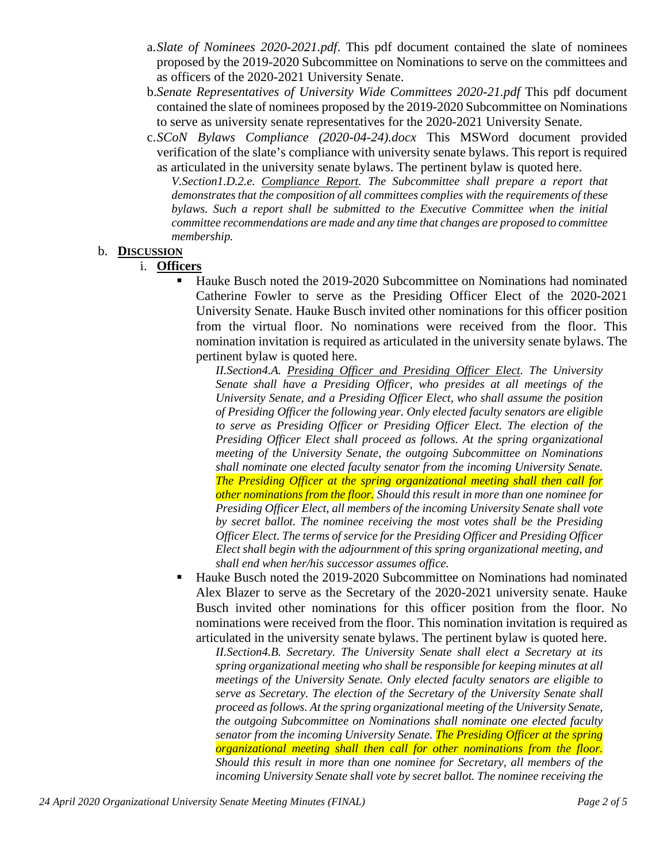- a.*Slate of Nominees 2020-2021.pdf*. This pdf document contained the slate of nominees proposed by the 2019-2020 Subcommittee on Nominations to serve on the committees and as officers of the 2020-2021 University Senate.
- b.*Senate Representatives of University Wide Committees 2020-21.pdf* This pdf document contained the slate of nominees proposed by the 2019-2020 Subcommittee on Nominations to serve as university senate representatives for the 2020-2021 University Senate.
- c.*SCoN Bylaws Compliance (2020-04-24).docx* This MSWord document provided verification of the slate's compliance with university senate bylaws. This report is required as articulated in the university senate bylaws. The pertinent bylaw is quoted here.

*V.Section1.D.2.e. Compliance Report. The Subcommittee shall prepare a report that demonstrates that the composition of all committees complies with the requirements of these bylaws. Such a report shall be submitted to the Executive Committee when the initial committee recommendations are made and any time that changes are proposed to committee membership.*

#### b. **DISCUSSION**

i. **Officers**

 Hauke Busch noted the 2019-2020 Subcommittee on Nominations had nominated Catherine Fowler to serve as the Presiding Officer Elect of the 2020-2021 University Senate. Hauke Busch invited other nominations for this officer position from the virtual floor. No nominations were received from the floor. This nomination invitation is required as articulated in the university senate bylaws. The pertinent bylaw is quoted here.

*II.Section4.A. Presiding Officer and Presiding Officer Elect. The University Senate shall have a Presiding Officer, who presides at all meetings of the University Senate, and a Presiding Officer Elect, who shall assume the position of Presiding Officer the following year. Only elected faculty senators are eligible*  to serve as Presiding Officer or Presiding Officer Elect. The election of the *Presiding Officer Elect shall proceed as follows. At the spring organizational meeting of the University Senate, the outgoing Subcommittee on Nominations shall nominate one elected faculty senator from the incoming University Senate. The Presiding Officer at the spring organizational meeting shall then call for other nominations from the floor. Should this result in more than one nominee for Presiding Officer Elect, all members of the incoming University Senate shall vote by secret ballot. The nominee receiving the most votes shall be the Presiding Officer Elect. The terms of service for the Presiding Officer and Presiding Officer Elect shall begin with the adjournment of this spring organizational meeting, and shall end when her/his successor assumes office.*

 Hauke Busch noted the 2019-2020 Subcommittee on Nominations had nominated Alex Blazer to serve as the Secretary of the 2020-2021 university senate. Hauke Busch invited other nominations for this officer position from the floor. No nominations were received from the floor. This nomination invitation is required as articulated in the university senate bylaws. The pertinent bylaw is quoted here.

*II.Section4.B. Secretary. The University Senate shall elect a Secretary at its spring organizational meeting who shall be responsible for keeping minutes at all meetings of the University Senate. Only elected faculty senators are eligible to serve as Secretary. The election of the Secretary of the University Senate shall proceed as follows. At the spring organizational meeting of the University Senate, the outgoing Subcommittee on Nominations shall nominate one elected faculty senator from the incoming University Senate. The Presiding Officer at the spring organizational meeting shall then call for other nominations from the floor. Should this result in more than one nominee for Secretary, all members of the incoming University Senate shall vote by secret ballot. The nominee receiving the*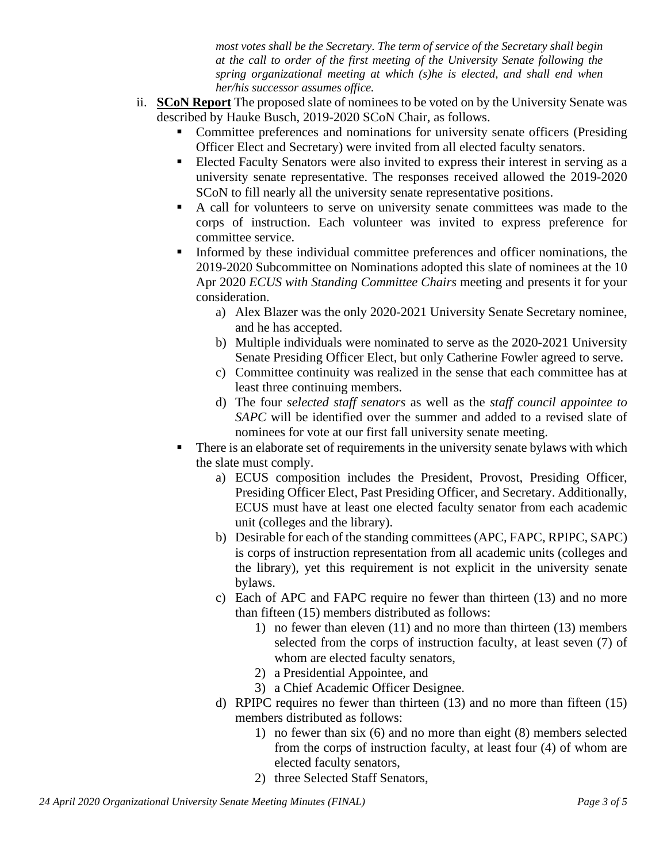*most votes shall be the Secretary. The term of service of the Secretary shall begin at the call to order of the first meeting of the University Senate following the spring organizational meeting at which (s)he is elected, and shall end when her/his successor assumes office.*

- ii. **SCoN Report** The proposed slate of nominees to be voted on by the University Senate was described by Hauke Busch, 2019-2020 SCoN Chair, as follows.
	- Committee preferences and nominations for university senate officers (Presiding Officer Elect and Secretary) were invited from all elected faculty senators.
	- Elected Faculty Senators were also invited to express their interest in serving as a university senate representative. The responses received allowed the 2019-2020 SCoN to fill nearly all the university senate representative positions.
	- A call for volunteers to serve on university senate committees was made to the corps of instruction. Each volunteer was invited to express preference for committee service.
	- Informed by these individual committee preferences and officer nominations, the 2019-2020 Subcommittee on Nominations adopted this slate of nominees at the 10 Apr 2020 *ECUS with Standing Committee Chairs* meeting and presents it for your consideration.
		- a) Alex Blazer was the only 2020-2021 University Senate Secretary nominee, and he has accepted.
		- b) Multiple individuals were nominated to serve as the 2020-2021 University Senate Presiding Officer Elect, but only Catherine Fowler agreed to serve.
		- c) Committee continuity was realized in the sense that each committee has at least three continuing members.
		- d) The four *selected staff senators* as well as the *staff council appointee to SAPC* will be identified over the summer and added to a revised slate of nominees for vote at our first fall university senate meeting.
	- There is an elaborate set of requirements in the university senate bylaws with which the slate must comply.
		- a) ECUS composition includes the President, Provost, Presiding Officer, Presiding Officer Elect, Past Presiding Officer, and Secretary. Additionally, ECUS must have at least one elected faculty senator from each academic unit (colleges and the library).
		- b) Desirable for each of the standing committees (APC, FAPC, RPIPC, SAPC) is corps of instruction representation from all academic units (colleges and the library), yet this requirement is not explicit in the university senate bylaws.
		- c) Each of APC and FAPC require no fewer than thirteen (13) and no more than fifteen (15) members distributed as follows:
			- 1) no fewer than eleven (11) and no more than thirteen (13) members selected from the corps of instruction faculty, at least seven (7) of whom are elected faculty senators,
			- 2) a Presidential Appointee, and
			- 3) a Chief Academic Officer Designee.
		- d) RPIPC requires no fewer than thirteen (13) and no more than fifteen (15) members distributed as follows:
			- 1) no fewer than six (6) and no more than eight (8) members selected from the corps of instruction faculty, at least four (4) of whom are elected faculty senators,
			- 2) three Selected Staff Senators,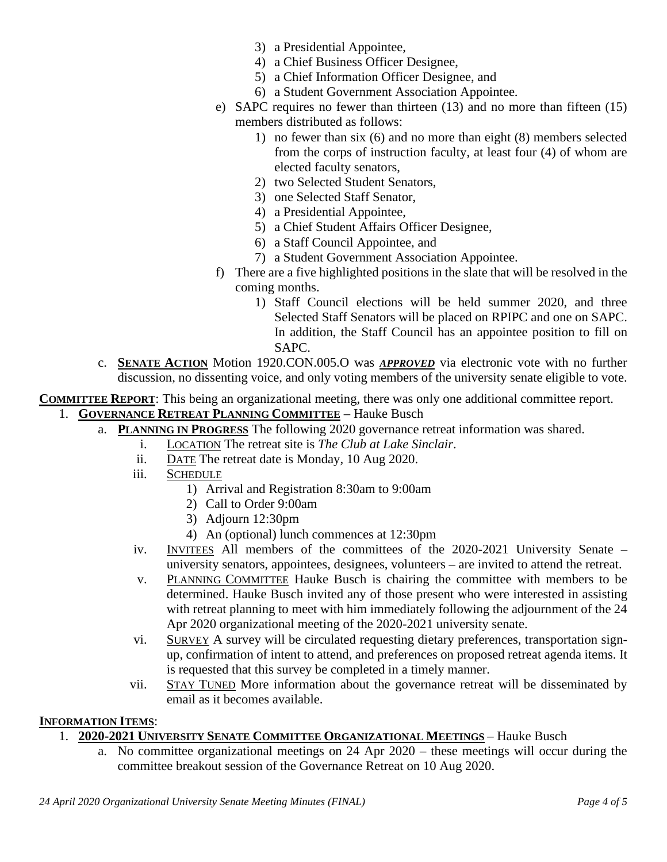- 3) a Presidential Appointee,
- 4) a Chief Business Officer Designee,
- 5) a Chief Information Officer Designee, and
- 6) a Student Government Association Appointee.
- e) SAPC requires no fewer than thirteen (13) and no more than fifteen (15) members distributed as follows:
	- 1) no fewer than six (6) and no more than eight (8) members selected from the corps of instruction faculty, at least four (4) of whom are elected faculty senators,
	- 2) two Selected Student Senators,
	- 3) one Selected Staff Senator,
	- 4) a Presidential Appointee,
	- 5) a Chief Student Affairs Officer Designee,
	- 6) a Staff Council Appointee, and
	- 7) a Student Government Association Appointee.
- f) There are a five highlighted positions in the slate that will be resolved in the coming months.
	- 1) Staff Council elections will be held summer 2020, and three Selected Staff Senators will be placed on RPIPC and one on SAPC. In addition, the Staff Council has an appointee position to fill on SAPC.
- c. **SENATE ACTION** Motion 1920.CON.005.O was *APPROVED* via electronic vote with no further discussion, no dissenting voice, and only voting members of the university senate eligible to vote.

**COMMITTEE REPORT**: This being an organizational meeting, there was only one additional committee report. 1. **GOVERNANCE RETREAT PLANNING COMMITTEE** – Hauke Busch

- a. **PLANNING IN PROGRESS** The following 2020 governance retreat information was shared.
	- i. LOCATION The retreat site is *The Club at Lake Sinclair*.
	- ii. DATE The retreat date is Monday, 10 Aug 2020.
	- iii. SCHEDULE
		- 1) Arrival and Registration 8:30am to 9:00am
		- 2) Call to Order 9:00am
		- 3) Adjourn 12:30pm
		- 4) An (optional) lunch commences at 12:30pm
	- iv. INVITEES All members of the committees of the 2020-2021 University Senate university senators, appointees, designees, volunteers – are invited to attend the retreat.
	- v. PLANNING COMMITTEE Hauke Busch is chairing the committee with members to be determined. Hauke Busch invited any of those present who were interested in assisting with retreat planning to meet with him immediately following the adjournment of the 24 Apr 2020 organizational meeting of the 2020-2021 university senate.
	- vi. SURVEY A survey will be circulated requesting dietary preferences, transportation signup, confirmation of intent to attend, and preferences on proposed retreat agenda items. It is requested that this survey be completed in a timely manner.
	- vii. STAY TUNED More information about the governance retreat will be disseminated by email as it becomes available.

### **INFORMATION ITEMS**:

# 1. **2020-2021 UNIVERSITY SENATE COMMITTEE ORGANIZATIONAL MEETINGS** – Hauke Busch

a. No committee organizational meetings on 24 Apr 2020 – these meetings will occur during the committee breakout session of the Governance Retreat on 10 Aug 2020.